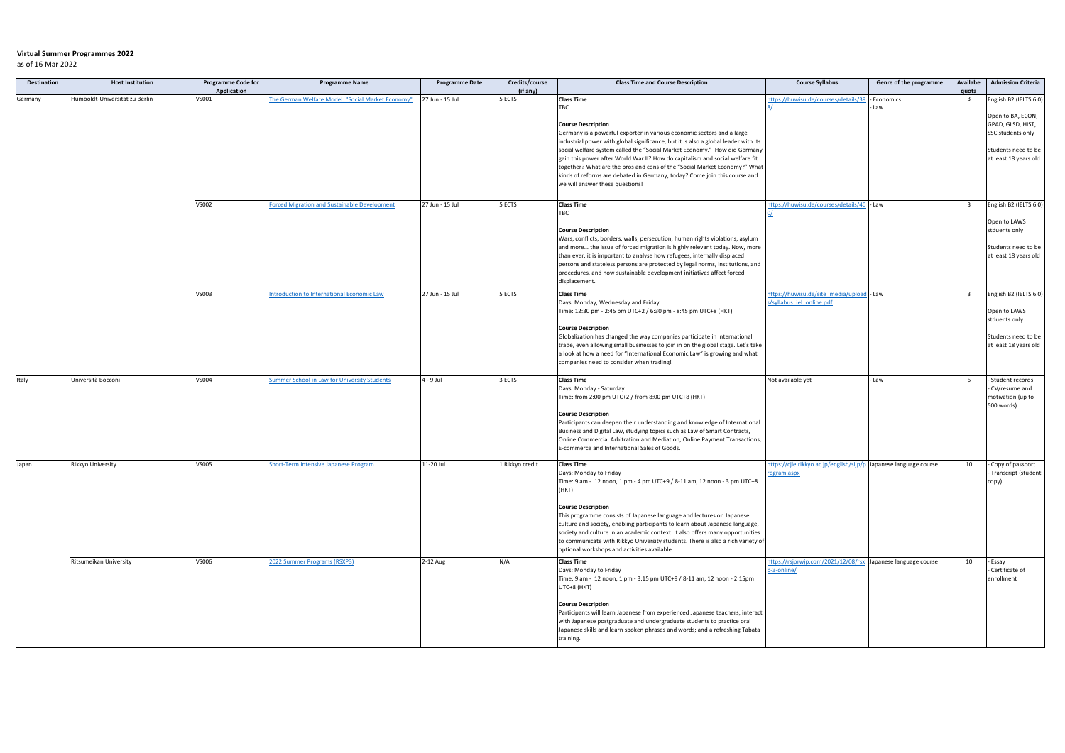## **Virtual Summer Programmes 2022**

as of 16 Mar 2022

| <b>Destination</b> | <b>Host Institution</b>        | <b>Programme Code for</b><br><b>Application</b> | <b>Programme Name</b>                             | <b>Programme Date</b> | Credits/course<br>(if any) | <b>Class Time and Course Description</b>                                                                                                                                                                                                                                                                                                                                                                                                                                                                                                                   | <b>Course Syllabus</b>                                                          | Genre of the programme | Availabe<br>quota       | <b>Admission Criteria</b>                                                                                   |
|--------------------|--------------------------------|-------------------------------------------------|---------------------------------------------------|-----------------------|----------------------------|------------------------------------------------------------------------------------------------------------------------------------------------------------------------------------------------------------------------------------------------------------------------------------------------------------------------------------------------------------------------------------------------------------------------------------------------------------------------------------------------------------------------------------------------------------|---------------------------------------------------------------------------------|------------------------|-------------------------|-------------------------------------------------------------------------------------------------------------|
| Germany            | Humboldt-Universität zu Berlin | VS001                                           | The German Welfare Model: "Social Market Economy" | 27 Jun - 15 Jul       | 5 ECTS                     | <b>Class Time</b>                                                                                                                                                                                                                                                                                                                                                                                                                                                                                                                                          | tps://huwisu.de/courses/details/39                                              | Economics              | $\overline{\mathbf{3}}$ | English B2 (IELTS 6.0)                                                                                      |
|                    |                                |                                                 |                                                   |                       |                            | TBC<br><b>Course Description</b><br>Germany is a powerful exporter in various economic sectors and a large<br>industrial power with global significance, but it is also a global leader with its<br>social welfare system called the "Social Market Economy." How did Germany<br>gain this power after World War II? How do capitalism and social welfare fit<br>together? What are the pros and cons of the "Social Market Economy?" What<br>kinds of reforms are debated in Germany, today? Come join this course and<br>we will answer these questions! |                                                                                 | Law                    |                         | Open to BA, ECON,<br>GPAD, GLSD, HIST,<br>SSC students only<br>Students need to be<br>at least 18 years old |
|                    |                                | VS002                                           | orced Migration and Sustainable Development       | 27 Jun - 15 Jul       | 5 ECTS                     | <b>Class Time</b><br>TBC<br><b>Course Description</b><br>Wars, conflicts, borders, walls, persecution, human rights violations, asylum<br>and more the issue of forced migration is highly relevant today. Now, more<br>than ever, it is important to analyse how refugees, internally displaced<br>persons and stateless persons are protected by legal norms, institutions, and<br>procedures, and how sustainable development initiatives affect forced<br>displacement.                                                                                | tps://huwisu.de/courses/details/40 - Law                                        |                        | $\overline{\mathbf{3}}$ | English B2 (IELTS 6.0)<br>Open to LAWS<br>stduents only<br>Students need to be<br>at least 18 years old     |
|                    |                                | VS003                                           | ntroduction to International Economic Law         | 27 Jun - 15 Jul       | 5 ECTS                     | <b>Class Time</b><br>Days: Monday, Wednesday and Friday<br>Time: 12:30 pm - 2:45 pm UTC+2 / 6:30 pm - 8:45 pm UTC+8 (HKT)<br><b>Course Description</b><br>Globalization has changed the way companies participate in international<br>trade, even allowing small businesses to join in on the global stage. Let's take<br>a look at how a need for "International Economic Law" is growing and what<br>companies need to consider when trading!                                                                                                            | nttps://huwisu.de/site media/upload - Law<br>s/syllabus iel online.pdf          |                        | $\overline{\mathbf{3}}$ | English B2 (IELTS 6.0)<br>Open to LAWS<br>stduents only<br>Students need to be<br>at least 18 years old     |
| Italy              | Università Bocconi             | <b>VS004</b>                                    | ummer School in Law for University Students       | 4 - 9 Jul             | 3 ECTS                     | <b>Class Time</b><br>Days: Monday - Saturday<br>Time: from 2:00 pm UTC+2 / from 8:00 pm UTC+8 (HKT)<br><b>Course Description</b><br>Participants can deepen their understanding and knowledge of International<br>Business and Digital Law, studying topics such as Law of Smart Contracts,<br>Online Commercial Arbitration and Mediation, Online Payment Transactions,<br>E-commerce and International Sales of Goods.                                                                                                                                   | Not available yet                                                               | - Law                  | -6                      | - Student records<br>- CV/resume and<br>motivation (up to<br>500 words)                                     |
| Japan              | <b>Rikkyo University</b>       | <b>VS005</b>                                    | Short-Term Intensive Japanese Program             | 11-20 Jul             | 1 Rikkyo credit            | <b>Class Time</b><br>Days: Monday to Friday<br>Time: 9 am - 12 noon, 1 pm - 4 pm UTC+9 / 8-11 am, 12 noon - 3 pm UTC+8<br>(HKT)<br><b>Course Description</b><br>This programme consists of Japanese language and lectures on Japanese<br>culture and society, enabling participants to learn about Japanese language,<br>society and culture in an academic context. It also offers many opportunities<br>to communicate with Rikkyo University students. There is also a rich variety of<br>optional workshops and activities available.                  | ttps://cjle.rikkyo.ac.jp/english/sijp/p Japanese language course<br>rogram.aspx |                        | 10                      | - Copy of passport<br>Transcript (student<br>copy)                                                          |
|                    | Ritsumeikan University         | VS006                                           | <b>2022 Summer Programs (RSXP3)</b>               | $2-12$ Aug            | N/A                        | <b>Class Time</b><br>Days: Monday to Friday<br>Time: 9 am - 12 noon, 1 pm - 3:15 pm UTC+9 / 8-11 am, 12 noon - 2:15pm<br>UTC+8 (HKT)<br><b>Course Description</b><br>Participants will learn Japanese from experienced Japanese teachers; interact<br>with Japanese postgraduate and undergraduate students to practice oral<br>Japanese skills and learn spoken phrases and words; and a refreshing Tabata<br>training.                                                                                                                                   | https://rsjprwjp.com/2021/12/08/rsx Japanese language course<br>p-3-online/     |                        | 10                      | - Essay<br>Certificate of<br>enrollment                                                                     |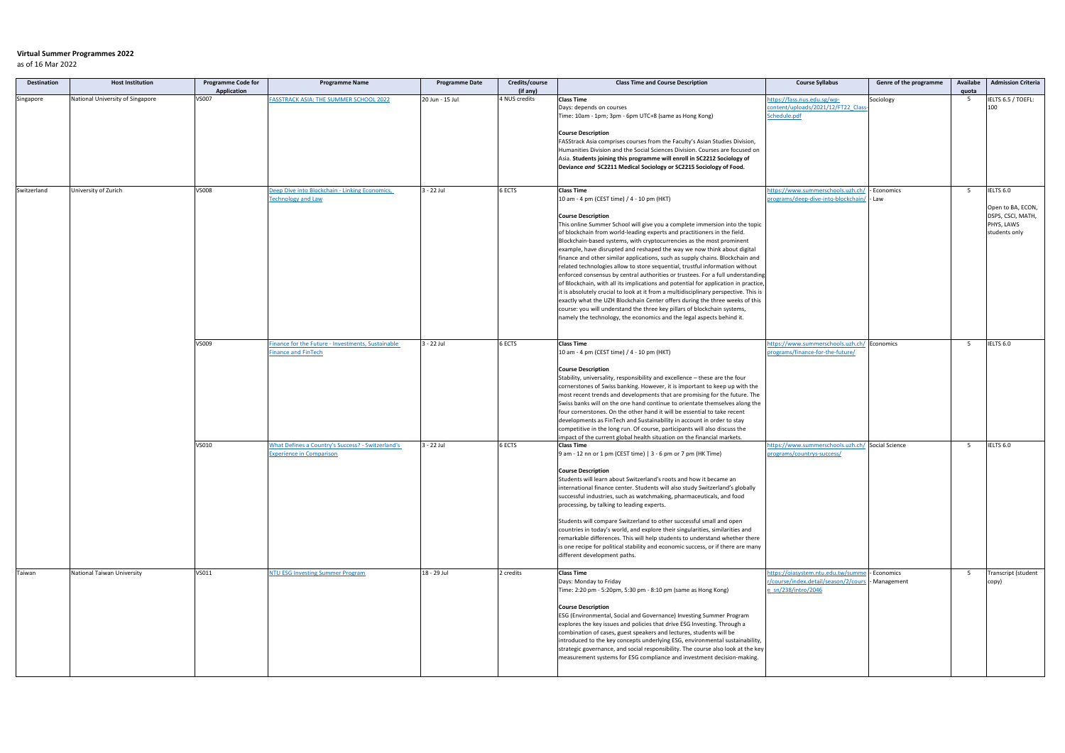## **Virtual Summer Programmes 2022**

as of 16 Mar 2022

| Destination | <b>Host Institution</b>          | <b>Programme Code for</b><br><b>Application</b> | <b>Programme Name</b>                             | <b>Programme Date</b> | Credits/course<br>(if any) | <b>Class Time and Course Description</b>                                                                                                                             | <b>Course Syllabus</b>                          | Genre of the programme | Availabe<br>quota | <b>Admission Criteria</b> |
|-------------|----------------------------------|-------------------------------------------------|---------------------------------------------------|-----------------------|----------------------------|----------------------------------------------------------------------------------------------------------------------------------------------------------------------|-------------------------------------------------|------------------------|-------------------|---------------------------|
| Singapore   | National University of Singapore | VS007                                           | ASSTRACK ASIA: THE SUMMER SCHOOL 2022             | 20 Jun - 15 Jul       | 4 NUS credits              | <b>Class Time</b>                                                                                                                                                    | ttps://fass.nus.edu.sg/wp-                      | Sociology              | 5                 | IELTS 6.5 / TOEFL:        |
|             |                                  |                                                 |                                                   |                       |                            | Days: depends on courses                                                                                                                                             | ontent/uploads/2021/12/FT22 Class               |                        |                   | 100                       |
|             |                                  |                                                 |                                                   |                       |                            | Time: 10am - 1pm; 3pm - 6pm UTC+8 (same as Hong Kong)                                                                                                                | Schedule.pdf                                    |                        |                   |                           |
|             |                                  |                                                 |                                                   |                       |                            |                                                                                                                                                                      |                                                 |                        |                   |                           |
|             |                                  |                                                 |                                                   |                       |                            | <b>Course Description</b>                                                                                                                                            |                                                 |                        |                   |                           |
|             |                                  |                                                 |                                                   |                       |                            | FASStrack Asia comprises courses from the Faculty's Asian Studies Division,                                                                                          |                                                 |                        |                   |                           |
|             |                                  |                                                 |                                                   |                       |                            | Humanities Division and the Social Sciences Division. Courses are focused on                                                                                         |                                                 |                        |                   |                           |
|             |                                  |                                                 |                                                   |                       |                            | Asia. Students joining this programme will enroll in SC2212 Sociology of                                                                                             |                                                 |                        |                   |                           |
|             |                                  |                                                 |                                                   |                       |                            | Deviance and SC2211 Medical Sociology or SC2215 Sociology of Food.                                                                                                   |                                                 |                        |                   |                           |
|             |                                  |                                                 |                                                   |                       |                            |                                                                                                                                                                      |                                                 |                        |                   |                           |
| Switzerland | University of Zurich             | VS008                                           | Deep Dive into Blockchain - Linking Economics,    | 3 - 22 Jul            | 6 ECTS                     | <b>Class Time</b>                                                                                                                                                    | ttps://www.summerschools.uzh.ch/                | Economics              | 5                 | IELTS 6.0                 |
|             |                                  |                                                 | <b>Technology and Law</b>                         |                       |                            | 10 am - 4 pm (CEST time) / 4 - 10 pm (HKT)                                                                                                                           | rograms/deep-dive-into-blockchain/              | Law                    |                   |                           |
|             |                                  |                                                 |                                                   |                       |                            |                                                                                                                                                                      |                                                 |                        |                   | Open to BA, ECON,         |
|             |                                  |                                                 |                                                   |                       |                            | <b>Course Description</b>                                                                                                                                            |                                                 |                        |                   | DSPS, CSCI, MATH,         |
|             |                                  |                                                 |                                                   |                       |                            | This online Summer School will give you a complete immersion into the topic                                                                                          |                                                 |                        |                   | PHYS, LAWS                |
|             |                                  |                                                 |                                                   |                       |                            | of blockchain from world-leading experts and practitioners in the field.                                                                                             |                                                 |                        |                   | students only             |
|             |                                  |                                                 |                                                   |                       |                            | Blockchain-based systems, with cryptocurrencies as the most prominent                                                                                                |                                                 |                        |                   |                           |
|             |                                  |                                                 |                                                   |                       |                            | example, have disrupted and reshaped the way we now think about digital                                                                                              |                                                 |                        |                   |                           |
|             |                                  |                                                 |                                                   |                       |                            | finance and other similar applications, such as supply chains. Blockchain and                                                                                        |                                                 |                        |                   |                           |
|             |                                  |                                                 |                                                   |                       |                            | related technologies allow to store sequential, trustful information without                                                                                         |                                                 |                        |                   |                           |
|             |                                  |                                                 |                                                   |                       |                            | enforced consensus by central authorities or trustees. For a full understanding                                                                                      |                                                 |                        |                   |                           |
|             |                                  |                                                 |                                                   |                       |                            | of Blockchain, with all its implications and potential for application in practice,                                                                                  |                                                 |                        |                   |                           |
|             |                                  |                                                 |                                                   |                       |                            | it is absolutely crucial to look at it from a multidisciplinary perspective. This is<br>exactly what the UZH Blockchain Center offers during the three weeks of this |                                                 |                        |                   |                           |
|             |                                  |                                                 |                                                   |                       |                            | course: you will understand the three key pillars of blockchain systems,                                                                                             |                                                 |                        |                   |                           |
|             |                                  |                                                 |                                                   |                       |                            | namely the technology, the economics and the legal aspects behind it.                                                                                                |                                                 |                        |                   |                           |
|             |                                  |                                                 |                                                   |                       |                            |                                                                                                                                                                      |                                                 |                        |                   |                           |
|             |                                  |                                                 |                                                   |                       |                            |                                                                                                                                                                      |                                                 |                        |                   |                           |
|             |                                  | VS009                                           | Finance for the Future - Investments, Sustainable | 3 - 22 Jul            | 6 ECTS                     | <b>Class Time</b>                                                                                                                                                    | ttps://www.summerschools.uzh.ch/ Economics      |                        | 5                 | IELTS 6.0                 |
|             |                                  |                                                 | inance and FinTech                                |                       |                            | 10 am - 4 pm (CEST time) / 4 - 10 pm (HKT)                                                                                                                           | rograms/finance-for-the-future/                 |                        |                   |                           |
|             |                                  |                                                 |                                                   |                       |                            |                                                                                                                                                                      |                                                 |                        |                   |                           |
|             |                                  |                                                 |                                                   |                       |                            | <b>Course Description</b>                                                                                                                                            |                                                 |                        |                   |                           |
|             |                                  |                                                 |                                                   |                       |                            | Stability, universality, responsibility and excellence - these are the four                                                                                          |                                                 |                        |                   |                           |
|             |                                  |                                                 |                                                   |                       |                            | cornerstones of Swiss banking. However, it is important to keep up with the                                                                                          |                                                 |                        |                   |                           |
|             |                                  |                                                 |                                                   |                       |                            | most recent trends and developments that are promising for the future. The                                                                                           |                                                 |                        |                   |                           |
|             |                                  |                                                 |                                                   |                       |                            | Swiss banks will on the one hand continue to orientate themselves along the                                                                                          |                                                 |                        |                   |                           |
|             |                                  |                                                 |                                                   |                       |                            | four cornerstones. On the other hand it will be essential to take recent                                                                                             |                                                 |                        |                   |                           |
|             |                                  |                                                 |                                                   |                       |                            | developments as FinTech and Sustainability in account in order to stay<br>competitive in the long run. Of course, participants will also discuss the                 |                                                 |                        |                   |                           |
|             |                                  |                                                 |                                                   |                       |                            | impact of the current global health situation on the financial markets.                                                                                              |                                                 |                        |                   |                           |
|             |                                  | VS010                                           | What Defines a Country's Success? - Switzerland's | 3 - 22 Jul            | 6 ECTS                     | <b>Class Time</b>                                                                                                                                                    | ttps://www.summerschools.uzh.ch/ Social Science |                        | 5                 | IELTS 6.0                 |
|             |                                  |                                                 | <b>Experience in Comparison</b>                   |                       |                            | 9 am - 12 nn or 1 pm (CEST time) $ $ 3 - 6 pm or 7 pm (HK Time)                                                                                                      | programs/countrys-success/                      |                        |                   |                           |
|             |                                  |                                                 |                                                   |                       |                            |                                                                                                                                                                      |                                                 |                        |                   |                           |
|             |                                  |                                                 |                                                   |                       |                            | <b>Course Description</b>                                                                                                                                            |                                                 |                        |                   |                           |
|             |                                  |                                                 |                                                   |                       |                            | Students will learn about Switzerland's roots and how it became an                                                                                                   |                                                 |                        |                   |                           |
|             |                                  |                                                 |                                                   |                       |                            | international finance center. Students will also study Switzerland's globally                                                                                        |                                                 |                        |                   |                           |
|             |                                  |                                                 |                                                   |                       |                            | successful industries, such as watchmaking, pharmaceuticals, and food                                                                                                |                                                 |                        |                   |                           |
|             |                                  |                                                 |                                                   |                       |                            | processing, by talking to leading experts.                                                                                                                           |                                                 |                        |                   |                           |
|             |                                  |                                                 |                                                   |                       |                            | Students will compare Switzerland to other successful small and open                                                                                                 |                                                 |                        |                   |                           |
|             |                                  |                                                 |                                                   |                       |                            | countries in today's world, and explore their singularities, similarities and                                                                                        |                                                 |                        |                   |                           |
|             |                                  |                                                 |                                                   |                       |                            | remarkable differences. This will help students to understand whether there                                                                                          |                                                 |                        |                   |                           |
|             |                                  |                                                 |                                                   |                       |                            | is one recipe for political stability and economic success, or if there are many                                                                                     |                                                 |                        |                   |                           |
|             |                                  |                                                 |                                                   |                       |                            | different development paths.                                                                                                                                         |                                                 |                        |                   |                           |
|             |                                  |                                                 |                                                   |                       |                            |                                                                                                                                                                      |                                                 |                        |                   |                           |
| Taiwan      | National Taiwan University       | VS011                                           | <b>NTU ESG Investing Summer Program</b>           | 18 - 29 Jul           | 2 credits                  | <b>Class Time</b>                                                                                                                                                    | https://oiasystem.ntu.edu.tw/summe              | - Economics            | 5 <sup>5</sup>    | Transcript (student       |
|             |                                  |                                                 |                                                   |                       |                            | Days: Monday to Friday                                                                                                                                               | r/course/index.detail/season/2/cou              | Management             |                   | copy)                     |
|             |                                  |                                                 |                                                   |                       |                            | Time: 2:20 pm - 5:20pm, 5:30 pm - 8:10 pm (same as Hong Kong)                                                                                                        | e sn/238/intro/2046                             |                        |                   |                           |
|             |                                  |                                                 |                                                   |                       |                            |                                                                                                                                                                      |                                                 |                        |                   |                           |
|             |                                  |                                                 |                                                   |                       |                            | <b>Course Description</b>                                                                                                                                            |                                                 |                        |                   |                           |
|             |                                  |                                                 |                                                   |                       |                            | ESG (Environmental, Social and Governance) Investing Summer Program                                                                                                  |                                                 |                        |                   |                           |
|             |                                  |                                                 |                                                   |                       |                            | explores the key issues and policies that drive ESG Investing. Through a<br>combination of cases, guest speakers and lectures, students will be                      |                                                 |                        |                   |                           |
|             |                                  |                                                 |                                                   |                       |                            | introduced to the key concepts underlying ESG, environmental sustainability,                                                                                         |                                                 |                        |                   |                           |
|             |                                  |                                                 |                                                   |                       |                            | strategic governance, and social responsibility. The course also look at the key                                                                                     |                                                 |                        |                   |                           |
|             |                                  |                                                 |                                                   |                       |                            | measurement systems for ESG compliance and investment decision-making.                                                                                               |                                                 |                        |                   |                           |
|             |                                  |                                                 |                                                   |                       |                            |                                                                                                                                                                      |                                                 |                        |                   |                           |
|             |                                  |                                                 |                                                   |                       |                            |                                                                                                                                                                      |                                                 |                        |                   |                           |